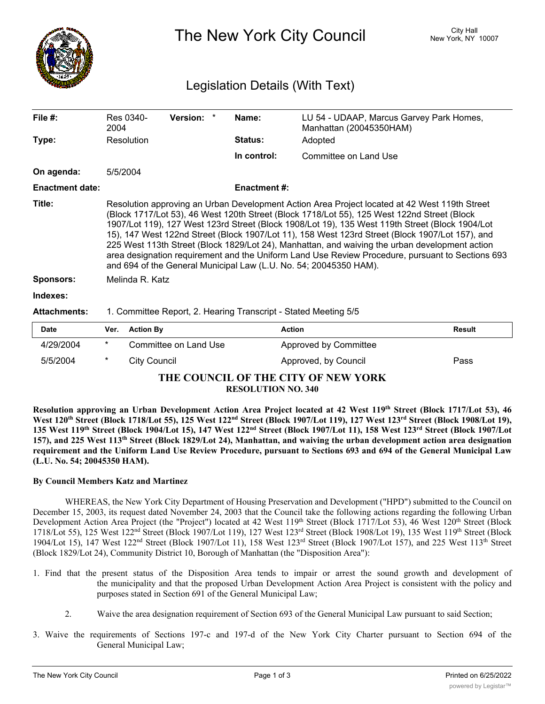

The New York City Council New York, NY 10007

## Legislation Details (With Text)

| File $#$ :             | 2004                                                                                                                                                                                                                                                                                                                                                                                                                                                                                                                                                                                                                                                                          | Res 0340-        | Version: *            |  | Name:               | LU 54 - UDAAP, Marcus Garvey Park Homes,<br>Manhattan (20045350HAM) |               |  |
|------------------------|-------------------------------------------------------------------------------------------------------------------------------------------------------------------------------------------------------------------------------------------------------------------------------------------------------------------------------------------------------------------------------------------------------------------------------------------------------------------------------------------------------------------------------------------------------------------------------------------------------------------------------------------------------------------------------|------------------|-----------------------|--|---------------------|---------------------------------------------------------------------|---------------|--|
| Type:                  | Resolution                                                                                                                                                                                                                                                                                                                                                                                                                                                                                                                                                                                                                                                                    |                  |                       |  | <b>Status:</b>      | Adopted                                                             |               |  |
|                        |                                                                                                                                                                                                                                                                                                                                                                                                                                                                                                                                                                                                                                                                               |                  |                       |  | In control:         | Committee on Land Use                                               |               |  |
| On agenda:             | 5/5/2004                                                                                                                                                                                                                                                                                                                                                                                                                                                                                                                                                                                                                                                                      |                  |                       |  |                     |                                                                     |               |  |
| <b>Enactment date:</b> |                                                                                                                                                                                                                                                                                                                                                                                                                                                                                                                                                                                                                                                                               |                  |                       |  | <b>Enactment #:</b> |                                                                     |               |  |
| Title:                 | Resolution approving an Urban Development Action Area Project located at 42 West 119th Street<br>(Block 1717/Lot 53), 46 West 120th Street (Block 1718/Lot 55), 125 West 122nd Street (Block<br>1907/Lot 119), 127 West 123rd Street (Block 1908/Lot 19), 135 West 119th Street (Block 1904/Lot<br>15), 147 West 122nd Street (Block 1907/Lot 11), 158 West 123rd Street (Block 1907/Lot 157), and<br>225 West 113th Street (Block 1829/Lot 24), Manhattan, and waiving the urban development action<br>area designation requirement and the Uniform Land Use Review Procedure, pursuant to Sections 693<br>and 694 of the General Municipal Law (L.U. No. 54; 20045350 HAM). |                  |                       |  |                     |                                                                     |               |  |
| <b>Sponsors:</b>       | Melinda R. Katz                                                                                                                                                                                                                                                                                                                                                                                                                                                                                                                                                                                                                                                               |                  |                       |  |                     |                                                                     |               |  |
| Indexes:               |                                                                                                                                                                                                                                                                                                                                                                                                                                                                                                                                                                                                                                                                               |                  |                       |  |                     |                                                                     |               |  |
| <b>Attachments:</b>    | 1. Committee Report, 2. Hearing Transcript - Stated Meeting 5/5                                                                                                                                                                                                                                                                                                                                                                                                                                                                                                                                                                                                               |                  |                       |  |                     |                                                                     |               |  |
| <b>Date</b>            | Ver.                                                                                                                                                                                                                                                                                                                                                                                                                                                                                                                                                                                                                                                                          | <b>Action By</b> |                       |  |                     | <b>Action</b>                                                       | <b>Result</b> |  |
| 4/29/2004              | $\ast$                                                                                                                                                                                                                                                                                                                                                                                                                                                                                                                                                                                                                                                                        |                  | Committee on Land Use |  |                     | Approved by Committee                                               |               |  |

**THE COUNCIL OF THE CITY OF NEW YORK RESOLUTION NO. 340**

5/5/2004 \* City Council Approved, by Council Pass

Resolution approving an Urban Development Action Area Project located at 42 West 119th Street (Block 1717/Lot 53), 46 West 120<sup>th</sup> Street (Block 1718/Lot 55), 125 West 122<sup>nd</sup> Street (Block 1907/Lot 119), 127 West 123<sup>rd</sup> Street (Block 1908/Lot 19), 135 West 119th Street (Block 1904/Lot 15), 147 West 122<sup>nd</sup> Street (Block 1907/Lot 11), 158 West 123<sup>rd</sup> Street (Block 1907/Lot 157), and 225 West 113<sup>th</sup> Street (Block 1829/Lot 24), Manhattan, and waiving the urban development action area designation requirement and the Uniform Land Use Review Procedure, pursuant to Sections 693 and 694 of the General Municipal Law **(L.U. No. 54; 20045350 HAM).**

## **By Council Members Katz and Martinez**

WHEREAS, the New York City Department of Housing Preservation and Development ("HPD") submitted to the Council on December 15, 2003, its request dated November 24, 2003 that the Council take the following actions regarding the following Urban Development Action Area Project (the "Project") located at 42 West 119th Street (Block 1717/Lot 53), 46 West 120th Street (Block 1718/Lot 55), 125 West 122nd Street (Block 1907/Lot 119), 127 West 123rd Street (Block 1908/Lot 19), 135 West 119th Street (Block 1904/Lot 15), 147 West 122<sup>nd</sup> Street (Block 1907/Lot 11), 158 West 123<sup>rd</sup> Street (Block 1907/Lot 157), and 225 West 113<sup>th</sup> Street (Block 1829/Lot 24), Community District 10, Borough of Manhattan (the "Disposition Area"):

- 1. Find that the present status of the Disposition Area tends to impair or arrest the sound growth and development of the municipality and that the proposed Urban Development Action Area Project is consistent with the policy and purposes stated in Section 691 of the General Municipal Law;
	- 2. Waive the area designation requirement of Section 693 of the General Municipal Law pursuant to said Section;
- 3. Waive the requirements of Sections 197-c and 197-d of the New York City Charter pursuant to Section 694 of the General Municipal Law;

 $\mathcal{A}_\mathcal{A}$  as an Urban Development Action Area  $\mathcal{A}_\mathcal{A}$  of the General Municipal Municipal Municipal Municipal Municipal Municipal Municipal Municipal Municipal Municipal Municipal Municipal Municipal Municipal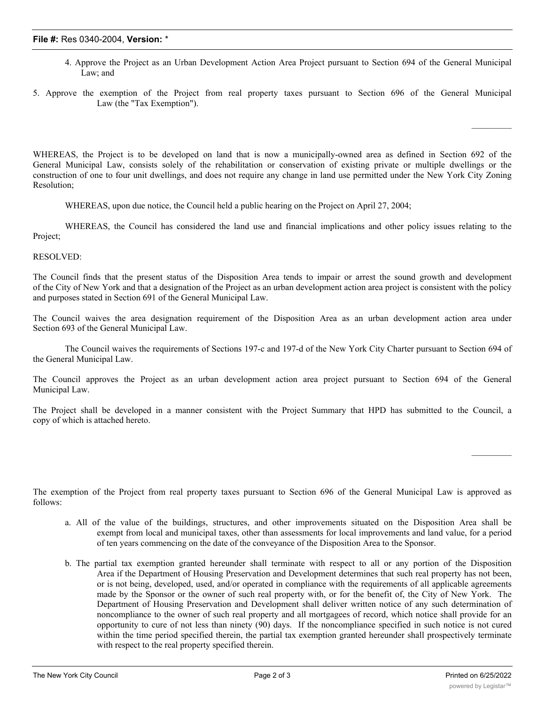## **File #:** Res 0340-2004, **Version:** \*

- 4. Approve the Project as an Urban Development Action Area Project pursuant to Section 694 of the General Municipal Law; and
- 5. Approve the exemption of the Project from real property taxes pursuant to Section 696 of the General Municipal Law (the "Tax Exemption").

WHEREAS, the Project is to be developed on land that is now a municipally-owned area as defined in Section 692 of the General Municipal Law, consists solely of the rehabilitation or conservation of existing private or multiple dwellings or the construction of one to four unit dwellings, and does not require any change in land use permitted under the New York City Zoning Resolution;

WHEREAS, upon due notice, the Council held a public hearing on the Project on April 27, 2004;

WHEREAS, the Council has considered the land use and financial implications and other policy issues relating to the Project;

RESOLVED:

The Council finds that the present status of the Disposition Area tends to impair or arrest the sound growth and development of the City of New York and that a designation of the Project as an urban development action area project is consistent with the policy and purposes stated in Section 691 of the General Municipal Law.

The Council waives the area designation requirement of the Disposition Area as an urban development action area under Section 693 of the General Municipal Law.

The Council waives the requirements of Sections 197-c and 197-d of the New York City Charter pursuant to Section 694 of the General Municipal Law.

The Council approves the Project as an urban development action area project pursuant to Section 694 of the General Municipal Law.

The Project shall be developed in a manner consistent with the Project Summary that HPD has submitted to the Council, a copy of which is attached hereto.

The exemption of the Project from real property taxes pursuant to Section 696 of the General Municipal Law is approved as follows:

- a. All of the value of the buildings, structures, and other improvements situated on the Disposition Area shall be exempt from local and municipal taxes, other than assessments for local improvements and land value, for a period of ten years commencing on the date of the conveyance of the Disposition Area to the Sponsor.
- b. The partial tax exemption granted hereunder shall terminate with respect to all or any portion of the Disposition Area if the Department of Housing Preservation and Development determines that such real property has not been, or is not being, developed, used, and/or operated in compliance with the requirements of all applicable agreements made by the Sponsor or the owner of such real property with, or for the benefit of, the City of New York. The Department of Housing Preservation and Development shall deliver written notice of any such determination of noncompliance to the owner of such real property and all mortgagees of record, which notice shall provide for an opportunity to cure of not less than ninety (90) days. If the noncompliance specified in such notice is not cured within the time period specified therein, the partial tax exemption granted hereunder shall prospectively terminate with respect to the real property specified therein.

 $\mathcal{L}_\text{max}$